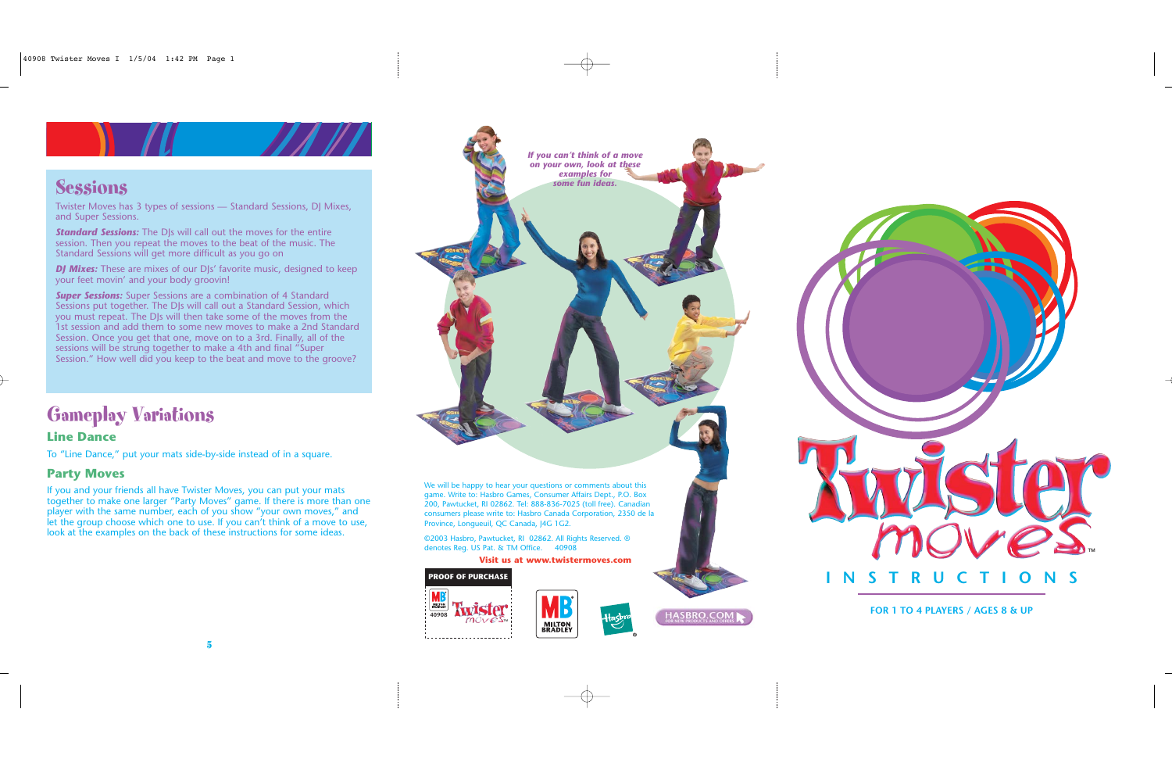# Gameplay Variations

### **Line Dance**

To "Line Dance," put your mats side-by-side instead of in a square.

#### **Party Moves**

If you and your friends all have Twister Moves, you can put your mats together to make one larger "Party Moves" game. If there is more than one player with the same number, each of you show "your own moves," and let the group choose which one to use. If you can't think of a move to use, look at the examples on the back of these instructions for some ideas.

We will be happy to hear your questions or comments about this game. Write to: Hasbro Games, Consumer Affairs Dept., P.O. Box 200, Pawtucket, RI 02862. Tel: 888-836-7025 (toll free). Canadian consumers please write to: Hasbro Canada Corporation, 2350 de la Province, Longueuil, QC Canada, J4G 1G2.

©2003 Hasbro, Pawtucket, RI 02862. All Rights Reserved. ® denotes Reg. US Pat. & TM Office. 40908

*DJ Mixes:* These are mixes of our DJs' favorite music, designed to keep your feet movin' and your body groovin!

**Super Sessions:** Super Sessions are a combination of 4 Standard Sessions put together. The DJs will call out a Standard Session, which you must repeat. The DJs will then take some of the moves from the 1st session and add them to some new moves to make a 2nd Standard Session. Once you get that one, move on to a 3rd. Finally, all of the sessions will be strung together to make a 4th and final "Super Session." How well did you keep to the beat and move to the groove?









Twister Moves has 3 types of sessions — Standard Sessions, DJ Mixes, and Super Sessions.

*Standard Sessions:* The DJs will call out the moves for the entire session. Then you repeat the moves to the beat of the music. The Standard Sessions will get more difficult as you go on

*If you can't think of a move on your own, look at these examples for some fun ideas.*

**Visit us at www.twistermoves.com**



**FOR 1 TO 4 PLAYERS / AGES 8 & UP**



### **Sessions**